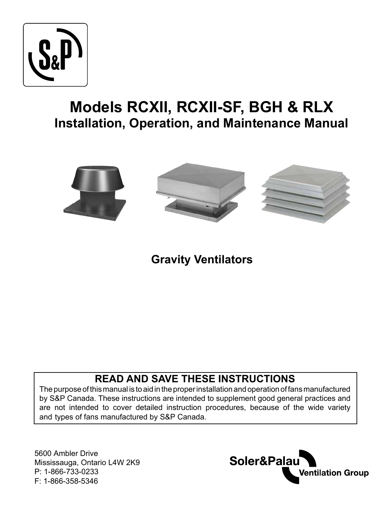

# **Models RCXII, RCXII-SF, BGH & RLX Installation, Operation, and Maintenance Manual**



## **Gravity Ventilators**

## **READ AND SAVE THESE INSTRUCTIONS**

The purpose of this manual is to aid in the proper installation and operation of fans manufactured by S&P Canada. These instructions are intended to supplement good general practices and are not intended to cover detailed instruction procedures, because of the wide variety and types of fans manufactured by S&P Canada.

5600 Ambler Drive Mississauga, Ontario L4W 2K9 P: 1-866-733-0233 F: 1-866-358-5346

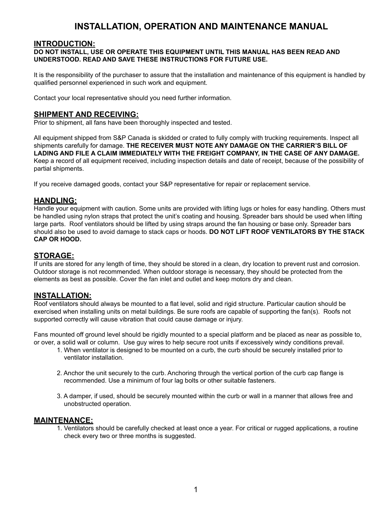## **INSTALLATION, OPERATION AND MAINTENANCE MANUAL**

#### **INTRODUCTION:**

#### **DO NOT INSTALL, USE OR OPERATE THIS EQUIPMENT UNTIL THIS MANUAL HAS BEEN READ AND UNDERSTOOD. READ AND SAVE THESE INSTRUCTIONS FOR FUTURE USE.**

It is the responsibility of the purchaser to assure that the installation and maintenance of this equipment is handled by qualified personnel experienced in such work and equipment.

Contact your local representative should you need further information.

#### **SHIPMENT AND RECEIVING:**

Prior to shipment, all fans have been thoroughly inspected and tested.

All equipment shipped from S&P Canada is skidded or crated to fully comply with trucking requirements. Inspect all shipments carefully for damage. **THE RECEIVER MUST NOTE ANY DAMAGE ON THE CARRIER'S BILL OF LADING AND FILE A CLAIM IMMEDIATELY WITH THE FREIGHT COMPANY, IN THE CASE OF ANY DAMAGE.**  Keep a record of all equipment received, including inspection details and date of receipt, because of the possibility of partial shipments.

If you receive damaged goods, contact your S&P representative for repair or replacement service.

#### **HANDLING:**

Handle your equipment with caution. Some units are provided with lifting lugs or holes for easy handling. Others must be handled using nylon straps that protect the unit's coating and housing. Spreader bars should be used when lifting large parts. Roof ventilators should be lifted by using straps around the fan housing or base only. Spreader bars should also be used to avoid damage to stack caps or hoods. **DO NOT LIFT ROOF VENTILATORS BY THE STACK CAP OR HOOD.** 

#### **STORAGE:**

If units are stored for any length of time, they should be stored in a clean, dry location to prevent rust and corrosion. Outdoor storage is not recommended. When outdoor storage is necessary, they should be protected from the elements as best as possible. Cover the fan inlet and outlet and keep motors dry and clean.

#### **INSTALLATION:**

Roof ventilators should always be mounted to a flat level, solid and rigid structure. Particular caution should be exercised when installing units on metal buildings. Be sure roofs are capable of supporting the fan(s). Roofs not supported correctly will cause vibration that could cause damage or injury.

Fans mounted off ground level should be rigidly mounted to a special platform and be placed as near as possible to, or over, a solid wall or column. Use guy wires to help secure root units if excessively windy conditions prevail.

- 1. When ventilator is designed to be mounted on a curb, the curb should be securely installed prior to ventilator installation.
- 2. Anchor the unit securely to the curb. Anchoring through the vertical portion of the curb cap flange is recommended. Use a minimum of four lag bolts or other suitable fasteners.
- 3. A damper, if used, should be securely mounted within the curb or wall in a manner that allows free and unobstructed operation.

#### **MAINTENANCE:**

1. Ventilators should be carefully checked at least once a year. For critical or rugged applications, a routine check every two or three months is suggested.